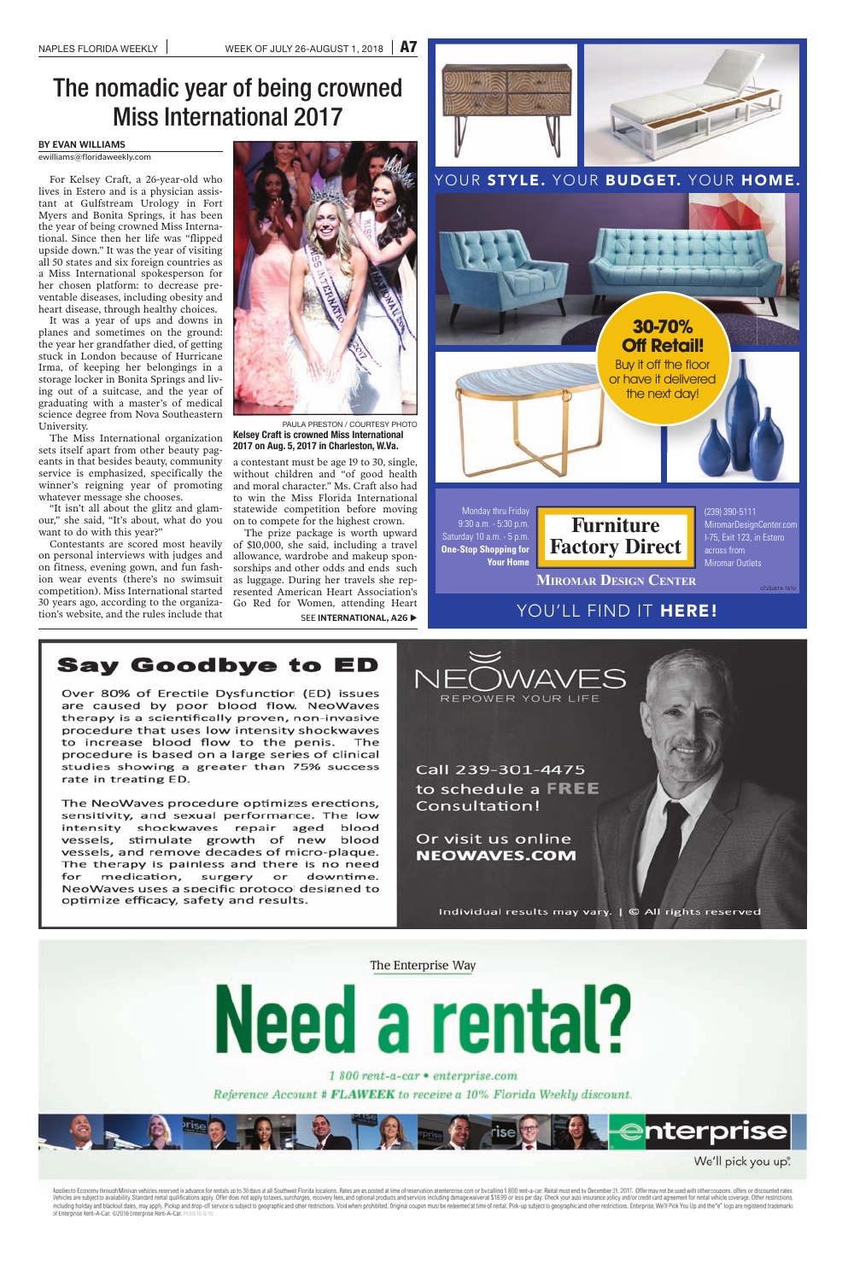

## **Say Goodbye to ED**

Over 80% of Erectile Dysfunction (ED) issues are caused by poor blood flow. NeoWaves therapy is a scientifically proven, non-invasive procedure that uses low intensity shockwaves to increase blood flow to the penis. The procedure is based on a large series of clinical studies showing a greater than 75% success rate in treating ED.

The NeoWaves procedure optimizes erections, sensitivity, and sexual performance. The low intensity shockwaves repair aged blood vessels, stimulate growth of new blood vessels, and remove decades of micro-plaque. The therapy is painless and there is no need for medication, surgery or downtime. NeoWaves uses a specific protocol designed to optimize efficacy, safety and results.





1 800 rent-a-car • enterprise.com

Reference Account # FLAWEEK to receive a 10% Florida Weekly discount.



We'll pick you up".

Applies to Economy through Minivan vehicles reserved in advance for rentals up to 30 days at all Southwest Florida locations. Rates are as posted at time of reservation at enterprise.com or by calling 1800 rent-a-car. Rent including holiday and blackout dates, may apply. Pickup and drop-off service is subject to geographic and other restrictions. Void where prohibited. Original coupon must be redeemed at time of rental. Pick-up subject to ge

# The nomadic year of being crowned Miss International 2017

### **BY EVAN WILLIAMS**

ewilliams@floridaweekly.com

For Kelsey Craft, a 26-year-old who lives in Estero and is a physician assistant at Gulfstream Urology in Fort Myers and Bonita Springs, it has been the year of being crowned Miss International. Since then her life was "flipped upside down." It was the year of visiting all 50 states and six foreign countries as a Miss International spokesperson for her chosen platform: to decrease preventable diseases, including obesity and heart disease, through healthy choices.

> The prize package is worth upward of \$10,000, she said, including a travel allowance, wardrobe and makeup sponsorships and other odds and ends such as luggage. During her travels she represented American Heart Association's Go Red for Women, attending Heart SEE **INTERNATIONAL, A26**

It was a year of ups and downs in planes and sometimes on the ground: the year her grandfather died, of getting stuck in London because of Hurricane Irma, of keeping her belongings in a storage locker in Bonita Springs and living out of a suitcase, and the year of graduating with a master's of medical science degree from Nova Southeastern University.

The Miss International organization sets itself apart from other beauty pageants in that besides beauty, community service is emphasized, specifically the winner's reigning year of promoting whatever message she chooses.

"It isn't all about the glitz and glamour," she said, "It's about, what do you want to do with this year?"

Contestants are scored most heavily on personal interviews with judges and on fitness, evening gown, and fun fashion wear events (there's no swimsuit competition). Miss International started 30 years ago, according to the organization's website, and the rules include that



a contestant must be age 19 to 30, single, without children and "of good health and moral character." Ms. Craft also had to win the Miss Florida International statewide competition before moving on to compete for the highest crown.

PAULA PRESTON / COURTESY PHOTO **Kelsey Craft is crowned Miss International 2017 on Aug. 5, 2017 in Charleston, W.Va.**